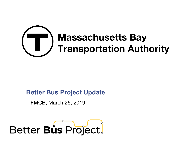

#### **Better Bus Project Update**

FMCB, March 25, 2019

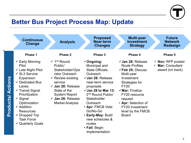

## **Better Bus Project Process Map: Update**

|                         | <b>Continuous</b><br><b>Change</b>                                                                                                                                                                                                                                                                                                                         | <b>Analysis</b>                                                                                                                                                                                                                                                 | <b>Proposed</b><br>Near-term<br><b>Changes</b>                                                                                                                                                                                                                                                                                                                      | <b>Multi-year</b><br><b>Investment</b><br><b>Strategy</b>                                                                                                                                                                                                                                   | <b>Future</b><br><b>Network</b><br><b>Redesign</b>                |
|-------------------------|------------------------------------------------------------------------------------------------------------------------------------------------------------------------------------------------------------------------------------------------------------------------------------------------------------------------------------------------------------|-----------------------------------------------------------------------------------------------------------------------------------------------------------------------------------------------------------------------------------------------------------------|---------------------------------------------------------------------------------------------------------------------------------------------------------------------------------------------------------------------------------------------------------------------------------------------------------------------------------------------------------------------|---------------------------------------------------------------------------------------------------------------------------------------------------------------------------------------------------------------------------------------------------------------------------------------------|-------------------------------------------------------------------|
|                         | Phase 1                                                                                                                                                                                                                                                                                                                                                    | <b>Phase 2</b>                                                                                                                                                                                                                                                  | Phase 3                                                                                                                                                                                                                                                                                                                                                             | Phase 4                                                                                                                                                                                                                                                                                     | Phase 5                                                           |
| <b>Products/Actions</b> | $\checkmark$ Early Morning<br>Pilot<br>$\checkmark$ Late Night Pilot<br>$\checkmark$ SL3 Service<br>Expansion<br>$\checkmark$ Dedicated Bus<br>Lanes<br>$\checkmark$ Transit Signal<br>Prioritization<br>$\checkmark$ Signal<br>Optimization<br>$\checkmark$ Addition<br><b>Resources</b><br><b>Dropped Trip</b><br><b>Task Force</b><br>✓ Quarterly Goals | $\checkmark$ 1 <sup>nd</sup> Round<br>Public/<br>Stakeholder/Ope<br>rator Outreach<br>$\checkmark$ Review existing<br>service<br>$\checkmark$ Jan 28: Release<br>State of the<br><b>System Report</b><br>$\checkmark$ Jan 28: Release<br><b>Market Analysis</b> | $\checkmark$ Ongoing:<br>Municipal and<br><b>State Officials</b><br>Outreach<br>$\checkmark$ Jan 28: Release<br>near-term service<br>proposals<br>$\checkmark$ Jan 28 to Mar 13:<br>2 <sup>nd</sup> Round Public/<br>Stakeholder<br>Outreach<br>• Apr: FMCB Vote:<br>Go/No-Go<br>· Early-May: Build<br>new schedules &<br>routes<br>• Fall: Begin<br>implementation | $\checkmark$ Jan 28: Release<br><b>Route Profiles</b><br>$\checkmark$ Feb 25: Discuss<br>Multi-year<br>Investment<br>Strategies for<br><b>FY20</b><br>$\checkmark$ Mar: Finalize<br>FY20 resource<br>request<br>• Apr: Selection of<br>FY20 investment<br>level by the FMCB<br><b>Board</b> | $\sqrt{ }$ Nov: RFP posted<br>Mar: Consultant<br>award (on track) |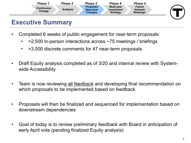

## **Executive Summary**

- • Completed 6 weeks of public engagement for near-term proposals:
	- > 2,500 in-person interactions across ~75 meetings / briefings
	- >3,500 discrete comments for 47 near-term proposals
- Draft Equity analysis completed as of 3/20 and internal review with Systemwide Accessibility
- Team is now reviewing all feedback and developing final recommendation on which proposals to be implemented based on feedback
- • Proposals will then be finalized and sequenced for implementation based on downstream dependencies
- • Goal of today is to review preliminary feedback with Board in anticipation of early April vote (pending finalized Equity analysis)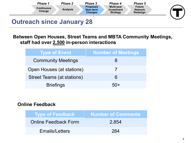| Phase 1                     | <b>Phase 2</b>  | <b>Phase 3</b>                                 | Phase 4                                                   | Phase 5                                     |  |
|-----------------------------|-----------------|------------------------------------------------|-----------------------------------------------------------|---------------------------------------------|--|
| <b>Continuous</b><br>Change | <b>Analysis</b> | <b>Proposed</b><br>Near-term<br><b>Changes</b> | <b>Multi-year</b><br><b>Investment</b><br><b>Strategy</b> | <b>Future</b><br><b>Network</b><br>Redesign |  |
|                             |                 |                                                |                                                           |                                             |  |

## **Outreach since January 28**

**Between Open Houses, Street Teams and MBTA Community Meetings, staff had over 2,500 in-person interactions** 

| Type of Event              | <b>Number of Meetings</b> |
|----------------------------|---------------------------|
| <b>Community Meetings</b>  | 8                         |
| Open Houses (at stations)  |                           |
| Street Teams (at stations) | 6                         |
| <b>Briefings</b>           |                           |

#### **Online Feedback**

| Type of Feedback            | Number of Comments |
|-----------------------------|--------------------|
| <b>Online Feedback Form</b> | 2,854              |
| <b>Emails/Letters</b>       | 284                |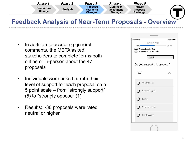

#### **Feedback Analysis of Near-Term Proposals - Overview**

- • In addition to accepting general comments, the MBTA asked stakeholders to complete forms both online or in-person about the 47 proposals
- • Individuals were asked to rate their level of support for each proposal on a 5 point scale – from "strongly support" (5) to "strongly oppose" (1)
- Results: ~30 proposals were rated neutral or higher

| nooo ?<br>$100\%$<br><b>Survey Completion</b><br>$0\%$<br>100%<br>Massachusetts Bay<br>Transportation Authority |  |  |  |  |  |
|-----------------------------------------------------------------------------------------------------------------|--|--|--|--|--|
| English                                                                                                         |  |  |  |  |  |
| Do you support this proposal?                                                                                   |  |  |  |  |  |
| SL <sub>2</sub><br>Í                                                                                            |  |  |  |  |  |
| Strongly support                                                                                                |  |  |  |  |  |
| Somewhat support                                                                                                |  |  |  |  |  |
| Neutral                                                                                                         |  |  |  |  |  |
| Somewhat oppose                                                                                                 |  |  |  |  |  |
| Strongly oppose                                                                                                 |  |  |  |  |  |
|                                                                                                                 |  |  |  |  |  |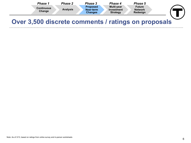| Phase 1                     | Phase 2         | <b>Phase 3</b>                                 | Phase 4                                            | Phase 5                                     |  |
|-----------------------------|-----------------|------------------------------------------------|----------------------------------------------------|---------------------------------------------|--|
| <b>Continuous</b><br>Change | <b>Analysis</b> | <b>Proposed</b><br>Near-term<br><b>Changes</b> | <b>Multi-year</b><br>Investment<br><b>Strategy</b> | <b>Future</b><br><b>Network</b><br>Redesign |  |
|                             |                 |                                                |                                                    |                                             |  |

### **Over 3,500 discrete comments / ratings on proposals**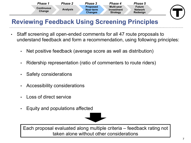

# **Reviewing Feedback Using Screening Principles**

- • Staff screening all open-ended comments for all 47 route proposals to understand feedback and form a recommendation, using following principles:
	- Net positive feedback (average score as well as distribution)
	- Ridership representation (ratio of commenters to route riders)
	- Safety considerations
	- Accessibility considerations
	- Loss of direct service
	- Equity and populations affected



 Each proposal evaluated along multiple criteria – feedback rating not taken alone without other considerations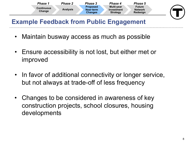

## **Example Feedback from Public Engagement**

- Maintain busway access as much as possible
- • Ensure accessibility is not lost, but either met or improved
- • In favor of additional connectivity or longer service, but not always at trade-off of less frequency
- • Changes to be considered in awareness of key construction projects, school closures, housing developments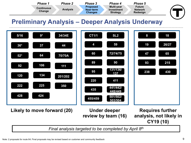

#### **Preliminary Analysis – Deeper Analysis Underway**